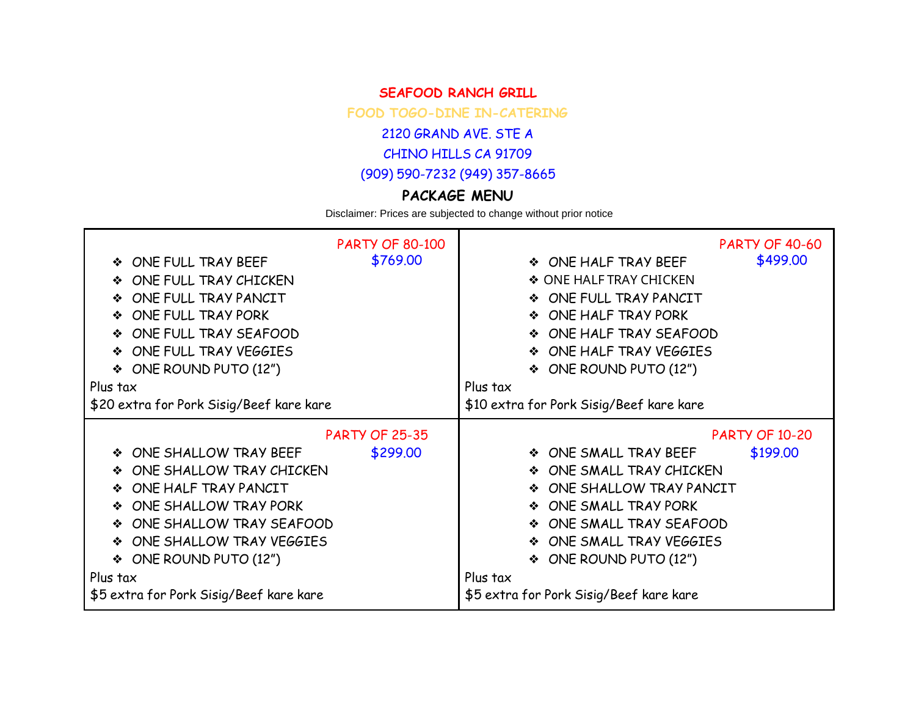## **SEAFOOD RANCH GRILL**

**FOOD TOGO-DINE IN-CATERING**

2120 GRAND AVE. STE A

CHINO HILLS CA 91709

(909) 590-7232 (949) 357-8665

## **PACKAGE MENU**

Disclaimer: Prices are subjected to change without prior notice

| ONE FULL TRAY BEEF<br>❖<br>ONE FULL TRAY CHICKEN<br>❖<br>ONE FULL TRAY PANCIT<br>❖<br>ONE FULL TRAY PORK<br>❖<br>ONE FULL TRAY SEAFOOD<br>ONE FULL TRAY VEGGIES<br>❖<br>ONE ROUND PUTO (12")<br>❖<br>Plus tax<br>\$20 extra for Pork Sisig/Beef kare kare | <b>PARTY OF 80-100</b><br>\$769.00 | <b>PARTY OF 40-60</b><br>\$499.00<br>❖ ONE HALF TRAY BEEF<br>♦ ONE HALF TRAY CHICKEN<br>ONE FULL TRAY PANCIT<br>❖<br>ONE HALF TRAY PORK<br>❖<br>ONE HALF TRAY SEAFOOD<br>❖<br>ONE HALF TRAY VEGGIES<br>❖<br>ONE ROUND PUTO (12")<br>❖<br>Plus tax<br>\$10 extra for Pork Sisig/Beef kare kare |
|-----------------------------------------------------------------------------------------------------------------------------------------------------------------------------------------------------------------------------------------------------------|------------------------------------|-----------------------------------------------------------------------------------------------------------------------------------------------------------------------------------------------------------------------------------------------------------------------------------------------|
|                                                                                                                                                                                                                                                           | <b>PARTY OF 25-35</b>              | <b>PARTY OF 10-20</b>                                                                                                                                                                                                                                                                         |
| ONE SHALLOW TRAY BEEF<br>❖                                                                                                                                                                                                                                | \$299.00                           | \$199.00<br>❖ ONE SMALL TRAY BEEF                                                                                                                                                                                                                                                             |
| ONE SHALLOW TRAY CHICKEN<br>❖                                                                                                                                                                                                                             |                                    | ONE SMALL TRAY CHICKEN<br>❖                                                                                                                                                                                                                                                                   |
| ONE HALF TRAY PANCIT<br>❖                                                                                                                                                                                                                                 |                                    | ONE SHALLOW TRAY PANCIT<br>❖                                                                                                                                                                                                                                                                  |
| ONE SHALLOW TRAY PORK                                                                                                                                                                                                                                     |                                    | ONE SMALL TRAY PORK<br>❖                                                                                                                                                                                                                                                                      |
| ONE SHALLOW TRAY SEAFOOD<br>❖                                                                                                                                                                                                                             |                                    | ONE SMALL TRAY SEAFOOD<br>❖                                                                                                                                                                                                                                                                   |
| ONE SHALLOW TRAY VEGGIES<br>❖                                                                                                                                                                                                                             |                                    | ONE SMALL TRAY VEGGIES<br>❖                                                                                                                                                                                                                                                                   |
| ONE ROUND PUTO (12")<br>❖                                                                                                                                                                                                                                 |                                    | ONE ROUND PUTO (12")<br>❖                                                                                                                                                                                                                                                                     |
| Plus tax                                                                                                                                                                                                                                                  |                                    | Plus tax                                                                                                                                                                                                                                                                                      |
| \$5 extra for Pork Sisig/Beef kare kare                                                                                                                                                                                                                   |                                    | \$5 extra for Pork Sisig/Beef kare kare                                                                                                                                                                                                                                                       |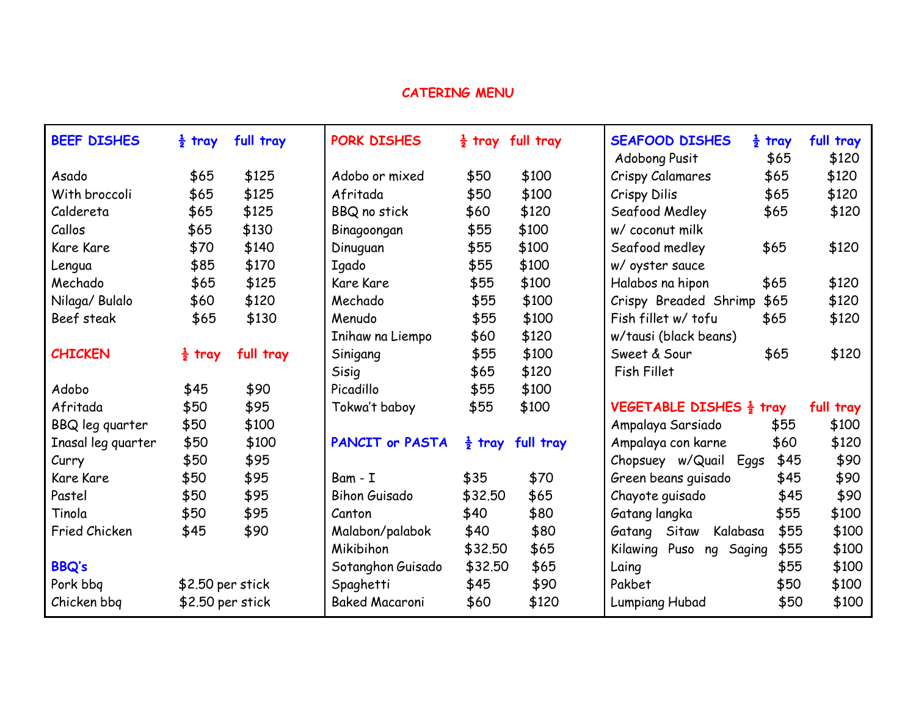## **CATERING MENU**

| <b>BEEF DISHES</b>   | $\frac{1}{2}$ tray | full tray | PORK DISHES            |                    | $\frac{1}{2}$ tray full tray | <b>SEAFOOD DISHES</b><br>Adobong Pusit | $\frac{1}{2}$ tray<br>\$65 | full tray<br>\$120 |
|----------------------|--------------------|-----------|------------------------|--------------------|------------------------------|----------------------------------------|----------------------------|--------------------|
| Asado                | \$65               | \$125     | Adobo or mixed         | \$50               | \$100                        | <b>Crispy Calamares</b>                | \$65                       | \$120              |
| With broccoli        | \$65               | \$125     | Afritada               | \$50               | \$100                        | Crispy Dilis                           | \$65                       | \$120              |
| Caldereta            | \$65               | \$125     | <b>BBQ</b> no stick    | \$60               | \$120                        | Seafood Medley                         | \$65                       | \$120              |
| Callos               | \$65               | \$130     | Binagoongan            | \$55               | \$100                        | w/ coconut milk                        |                            |                    |
| <b>Kare Kare</b>     | \$70               | \$140     | Dinuguan               | \$55               | \$100                        | Seafood medley                         | \$65                       | \$120              |
| Lengua               | \$85               | \$170     | Igado                  | \$55               | \$100                        | w/ oyster sauce                        |                            |                    |
| Mechado              | \$65               | \$125     | <b>Kare Kare</b>       | \$55               | \$100                        | Halabos na hipon                       | \$65                       | \$120              |
| Nilaga/ Bulalo       | \$60               | \$120     | Mechado                | \$55               | \$100                        | Crispy Breaded Shrimp                  | \$65                       | \$120              |
| Beef steak           | \$65               | \$130     | Menudo                 | \$55               | \$100                        | Fish fillet w/ tofu                    | \$65                       | \$120              |
|                      |                    |           | Inihaw na Liempo       | \$60               | \$120                        | w/tausi (black beans)                  |                            |                    |
| <b>CHICKEN</b>       | $\frac{1}{2}$ tray | full tray | Sinigang               | \$55               | \$100                        | Sweet & Sour                           | \$65                       | \$120              |
|                      |                    |           | Sisig                  | \$65               | \$120                        | <b>Fish Fillet</b>                     |                            |                    |
| Adobo                | \$45               | \$90      | Picadillo              | \$55               | \$100                        |                                        |                            |                    |
| Afritada             | \$50               | \$95      | Tokwa't baboy          | \$55               | \$100                        | VEGETABLE DISHES $\frac{1}{2}$ tray    |                            | full tray          |
| BBQ leg quarter      | \$50               | \$100     |                        |                    |                              | Ampalaya Sarsiado                      | \$55                       | \$100              |
| Inasal leg quarter   | \$50               | \$100     | <b>PANCIT or PASTA</b> | $\frac{1}{2}$ tray | full tray                    | Ampalaya con karne                     | \$60                       | \$120              |
| Curry                | \$50               | \$95      |                        |                    |                              | Chopsuey w/Quail Eggs                  | \$45                       | \$90               |
| <b>Kare Kare</b>     | \$50               | \$95      | Bam - I                | \$35               | \$70                         | Green beans guisado                    | \$45                       | \$90               |
| Pastel               | \$50               | \$95      | <b>Bihon Guisado</b>   | \$32.50            | \$65                         | Chayote guisado                        | \$45                       | \$90               |
| Tinola               | \$50               | \$95      | Canton                 | \$40               | \$80                         | Gatang langka                          | \$55                       | \$100              |
| <b>Fried Chicken</b> | \$45               | \$90      | Malabon/palabok        | \$40               | \$80                         | Gatang Sitaw<br>Kalabasa               | \$55                       | \$100              |
|                      |                    |           | Mikibihon              | \$32.50            | \$65                         | Kilawing Puso<br>Saging<br>ng          | \$55                       | \$100              |
| <b>BBQ's</b>         |                    |           | Sotanghon Guisado      | \$32.50            | \$65                         | Laing                                  | \$55                       | \$100              |
| Pork bbq             | \$2.50 per stick   |           | Spaghetti              | \$45               | \$90                         | Pakbet                                 | \$50                       | \$100              |
| Chicken bbg          | \$2.50 per stick   |           | <b>Baked Macaroni</b>  | \$60               | \$120                        | <b>Lumpiang Hubad</b>                  | \$50                       | \$100              |